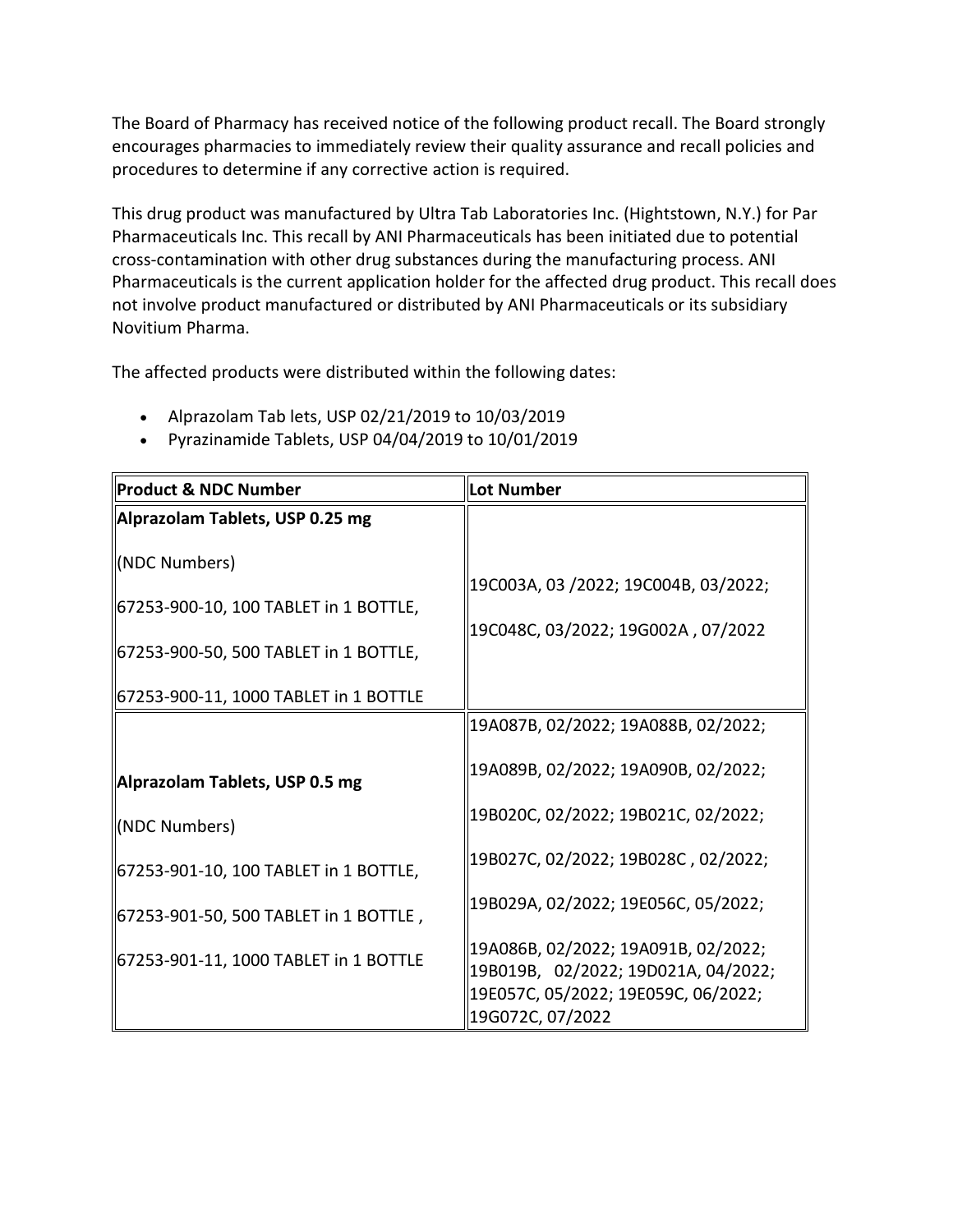The Board of Pharmacy has received notice of the following product recall. The Board strongly encourages pharmacies to immediately review their quality assurance and recall policies and procedures to determine if any corrective action is required.

 This drug product was manufactured by Ultra Tab Laboratories Inc. (Hightstown, N.Y.) for Par cross-contamination with other drug substances during the manufacturing process. ANI Pharmaceuticals is the current application holder for the affected drug product. This recall does Pharmaceuticals Inc. This recall by ANI Pharmaceuticals has been initiated due to potential not involve product manufactured or distributed by ANI Pharmaceuticals or its subsidiary Novitium Pharma.

The affected products were distributed within the following dates:

- Alprazolam Tab lets, USP 02/21/2019 to 10/03/2019
- Pyrazinamide Tablets, USP 04/04/2019 to 10/01/2019

| Product & NDC Number                                                                              | Lot Number                                                                                                                            |
|---------------------------------------------------------------------------------------------------|---------------------------------------------------------------------------------------------------------------------------------------|
| Alprazolam Tablets, USP 0.25 mg                                                                   |                                                                                                                                       |
| (NDC Numbers)<br>67253-900-10, 100 TABLET in 1 BOTTLE,<br>  67253-900-50, 500 TABLET in 1 BOTTLE, | 19C003A, 03 /2022; 19C004B, 03/2022;<br>19C048C, 03/2022; 19G002A, 07/2022                                                            |
| 67253-900-11, 1000 TABLET in 1 BOTTLE                                                             |                                                                                                                                       |
|                                                                                                   | 19A087B, 02/2022; 19A088B, 02/2022;                                                                                                   |
| Alprazolam Tablets, USP 0.5 mg                                                                    | 19A089B, 02/2022; 19A090B, 02/2022;                                                                                                   |
| (NDC Numbers)                                                                                     | 19B020C, 02/2022; 19B021C, 02/2022;                                                                                                   |
| 67253-901-10, 100 TABLET in 1 BOTTLE,                                                             | 19B027C, 02/2022; 19B028C, 02/2022;                                                                                                   |
| 67253-901-50, 500 TABLET in 1 BOTTLE,                                                             | 19B029A, 02/2022; 19E056C, 05/2022;                                                                                                   |
| 67253-901-11, 1000 TABLET in 1 BOTTLE                                                             | 19A086B, 02/2022; 19A091B, 02/2022;<br>19B019B, 02/2022; 19D021A, 04/2022;<br>19E057C, 05/2022; 19E059C, 06/2022;<br>19G072C, 07/2022 |